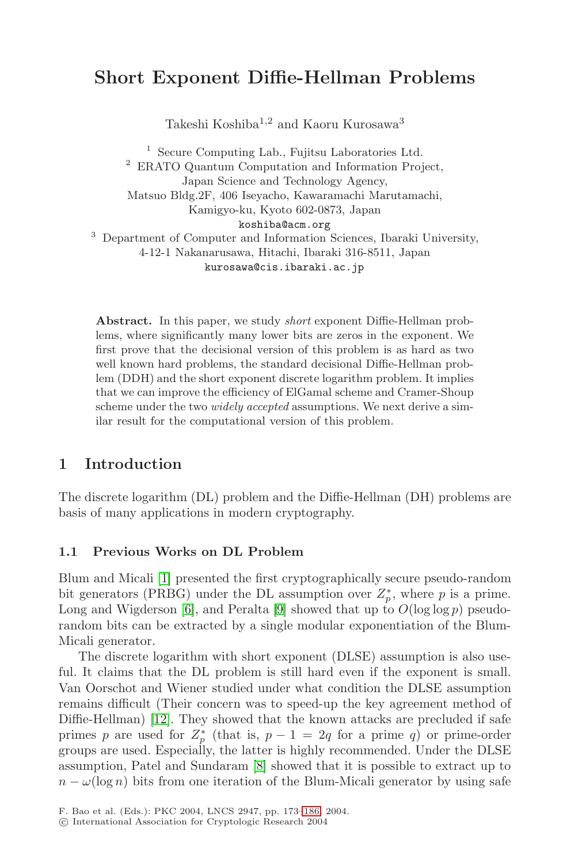# **Short Exponent Diffie-Hellman Problems**

Takeshi Koshiba $^{1,2}$  and Kaoru Kurosawa $^3$ 

<sup>1</sup> Secure Computing Lab., Fujitsu Laboratories Ltd. <sup>2</sup> ERATO Quantum Computation and Information Project, Japan Science and Technology Agency, Matsuo Bldg.2F, 406 Iseyacho, Kawaramachi Marutamachi, Kamigyo-ku, Kyoto 602-0873, Japan koshiba@acm.org <sup>3</sup> Department of Computer and Information Sciences, Ibaraki University, 4-12-1 Nakanarusawa, Hitachi, Ibaraki 316-8511, Japan

 $k_{\text{u}}$ 

**Abstract.** In this paper, we study *short* exponent Diffie-Hellman problems, where significantly many lower bits are zeros in the exponent. We first prove that the decisional version of this problem is as hard as two well known hard problems, the standard decisional Diffie-Hellman problem (DDH) and the short exponent discrete logarithm problem. It implies that we can improve the efficiency of ElGamal scheme and Cramer-Shoup scheme under the two *widely accepted* assumptions. We next derive a similar result for the computational version of this problem.

# **1 Introduction**

The discrete logarithm (DL) problem and the Diffie-Hellman (DH) problems are basis of many applications in modern cryptography.

#### Previous Works on DL Problem  $1.1$

Blum and Micali [\[1\]](#page-10-0) presented the first cryptographically secure pseudo-random bit generators (PRBG) under the DL assumption over  $Z_p^*$ , where p is a prime. Long and Wigderson [\[6\]](#page-10-1), and Peralta [\[9\]](#page-10-2) showed that up to  $O(\log \log p)$  pseudorandom bits can be extracted by a single modular exponentiation of the Blum-Micali generator.

The discrete logarithm with short exponent (DLSE) assumption is also useful. It claims that the DL problem is still hard even if the exponent is small. Van Oorschot and Wiener studied under what condition the DLSE assumption remains difficult (Their concern was to speed-up the key agreement method of Diffie-Hellman) [\[12\]](#page-10-3). They showed that the known attacks are precluded if safe primes p are used for  $Z_p^*$  (that is,  $p-1=2q$  for a prime q) or prime-order groups are used. Especially, the latter is highly recommended. Under the DLSE assumption, Patel and Sundaram [\[8\]](#page-10-4) showed that it is possible to extract up to  $n - \omega(\log n)$  bits from one iteration of the Blum-Micali generator by using safe

<sup>-</sup>c International Association for Cryptologic Research 2004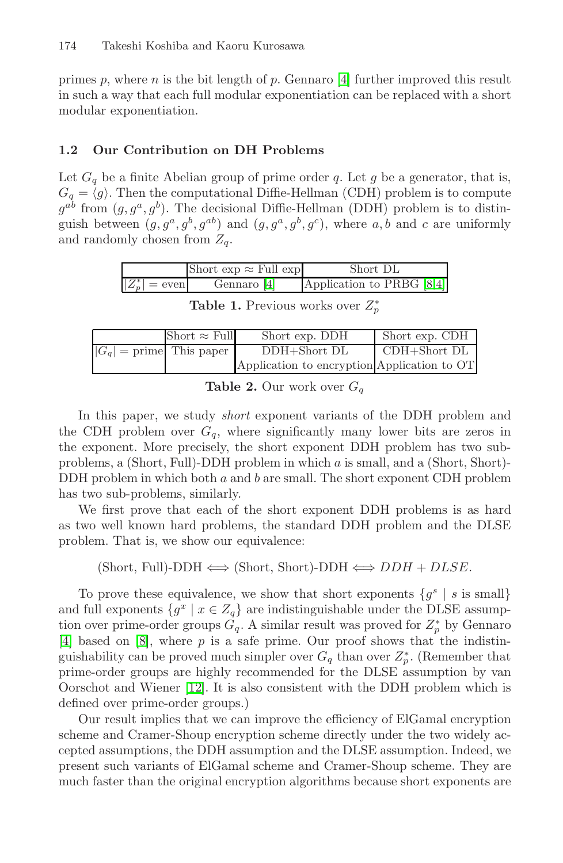primes p, where n is the bit length of p. Gennaro  $[4]$  further improved this result in such a way that each full modular exponentiation can be replaced with a short modular exponentiation.

# $1.2$

Let  $G_q$  be a finite Abelian group of prime order q. Let g be a generator, that is,  $G_q = \langle g \rangle$ . Then the computational Diffie-Hellman (CDH) problem is to compute  $g^{ab}$  from  $(g, g^a, g^b)$ . The decisional Diffie-Hellman (DDH) problem is to distinguish between  $(g, g^a, g^b, g^{ab})$  and  $(g, g^a, g^b, g^c)$ , where a, b and c are uniformly and randomly chosen from  $Z_a$ .

|                  | Short $\exp \approx$ Full $\exp$ | Short DL                  |
|------------------|----------------------------------|---------------------------|
| $ Z_p^* $ = even | Gennaro [4]                      | Application to PRBG [8,4] |

**Table 1.** Previous works over  $Z_p^*$ 

|                            | Short $\approx$ Full | Short exp. DDH                              | Short exp. CDH |
|----------------------------|----------------------|---------------------------------------------|----------------|
| $ G_q $ = prime This paper |                      | DDH+Short DL                                | CDH+Short DL   |
|                            |                      | Application to encryption Application to OT |                |

**Table 2.** Our work over  $G_q$ 

In this paper, we study *short* exponent variants of the DDH problem and the CDH problem over  $G_q$ , where significantly many lower bits are zeros in the exponent. More precisely, the short exponent DDH problem has two subproblems, a (Short, Full)-DDH problem in which a is small, and a (Short, Short)- DDH problem in which both  $a$  and  $b$  are small. The short exponent CDH problem has two sub-problems, similarly.

We first prove that each of the short exponent DDH problems is as hard as two well known hard problems, the standard DDH problem and the DLSE problem. That is, we show our equivalence:

 $(Short, Full)-DDH \Longleftrightarrow (Short, Short)-DDH \Longleftrightarrow DDH + DLSE.$ 

To prove these equivalence, we show that short exponents  $\{g^s \mid s \text{ is small}\}\$ and full exponents  $\{g^x \mid x \in Z_q\}$  are indistinguishable under the DLSE assumption over prime-order groups  $G_q$ . A similar result was proved for  $Z_p^*$  by Gennaro [\[4\]](#page-10-5) based on [\[8\]](#page-10-4), where  $p$  is a safe prime. Our proof shows that the indistinguishability can be proved much simpler over  $G_q$  than over  $Z_p^*$ . (Remember that prime-order groups are highly recommended for the DLSE assumption by van Oorschot and Wiener [\[12\]](#page-10-3). It is also consistent with the DDH problem which is defined over prime-order groups.)

Our result implies that we can improve the efficiency of ElGamal encryption scheme and Cramer-Shoup encryption scheme directly under the two widely accepted assumptions, the DDH assumption and the DLSE assumption. Indeed, we present such variants of ElGamal scheme and Cramer-Shoup scheme. They are much faster than the original encryption algorithms because short exponents are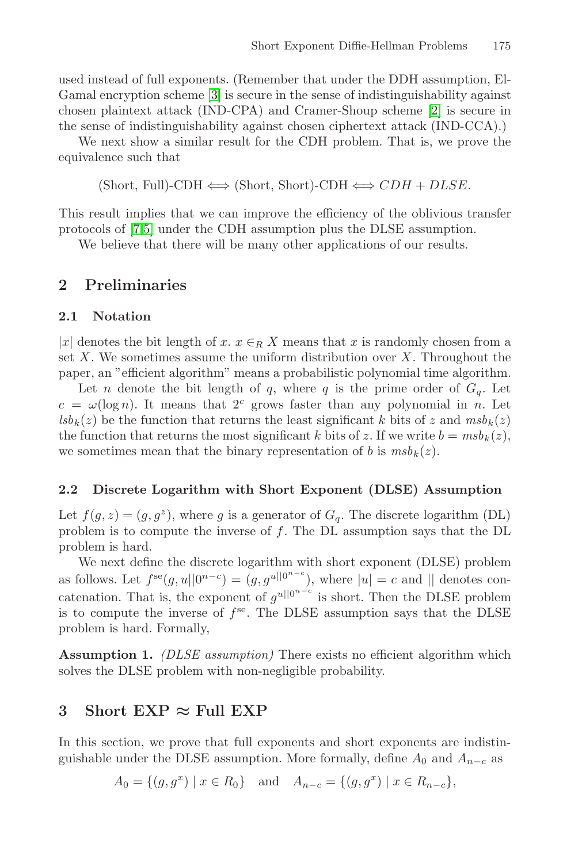used instead of full exponents. (Remember that under the DDH assumption, El-Gamal encryption scheme [\[3\]](#page-10-6) is secure in the sense of indistinguishability against chosen plaintext attack (IND-CPA) and Cramer-Shoup scheme [\[2\]](#page-10-7) is secure in the sense of indistinguishability against chosen ciphertext attack (IND-CCA).)

We next show a similar result for the CDH problem. That is, we prove the equivalence such that

 $(Short, Full)-CDH \Longleftrightarrow (Short, Short)-CDH \Longleftrightarrow CDH + DLSE.$ 

This result implies that we can improve the efficiency of the oblivious transfer protocols of [\[7,](#page-10-8)[5\]](#page-10-9) under the CDH assumption plus the DLSE assumption.

We believe that there will be many other applications of our results.

# **2 Preliminaries**

|x| denotes the bit length of x.  $x \in_R X$  means that x is randomly chosen from a set  $X$ . We sometimes assume the uniform distribution over  $X$ . Throughout the paper, an "efficient algorithm" means a probabilistic polynomial time algorithm.

Let *n* denote the bit length of *q*, where *q* is the prime order of  $G_q$ . Let  $c = \omega(\log n)$ . It means that  $2^c$  grows faster than any polynomial in n. Let  $lsb_k(z)$  be the function that returns the least significant k bits of z and  $msb_k(z)$ the function that returns the most significant k bits of z. If we write  $b = m s b_k(z)$ , we sometimes mean that the binary representation of b is  $m s b_k(z)$ .

# **2.2 Discrete Logarithm with Short Exponent (DLSE) Assumption**

Let  $f(g, z)=(g, g^z)$ , where g is a generator of  $G_q$ . The discrete logarithm (DL) problem is to compute the inverse of f. The DL assumption says that the DL problem is hard.

We next define the discrete logarithm with short exponent (DLSE) problem as follows. Let  $f^{se}(g, u||0^{n-c}) = (g, g^{u||0^{n-c}})$ , where  $|u| = c$  and  $||$  denotes concatenation. That is, the exponent of  $g^{u||0^{n-c}}$  is short. Then the DLSE problem is to compute the inverse of  $f^{\text{se}}$ . The DLSE assumption says that the DLSE problem is hard. Formally,

**Assumption 1.** *(DLSE assumption)* There exists no efficient algorithm which solves the DLSE problem with non-negligible probability.

## **3 Short EXP** *<sup>≈</sup>* **Full EXP**

In this section, we prove that full exponents and short exponents are indistinguishable under the DLSE assumption. More formally, define  $A_0$  and  $A_{n-c}$  as

 $A_0 = \{(g, g^x) \mid x \in R_0\}$  and  $A_{n-c} = \{(g, g^x) \mid x \in R_{n-c}\},$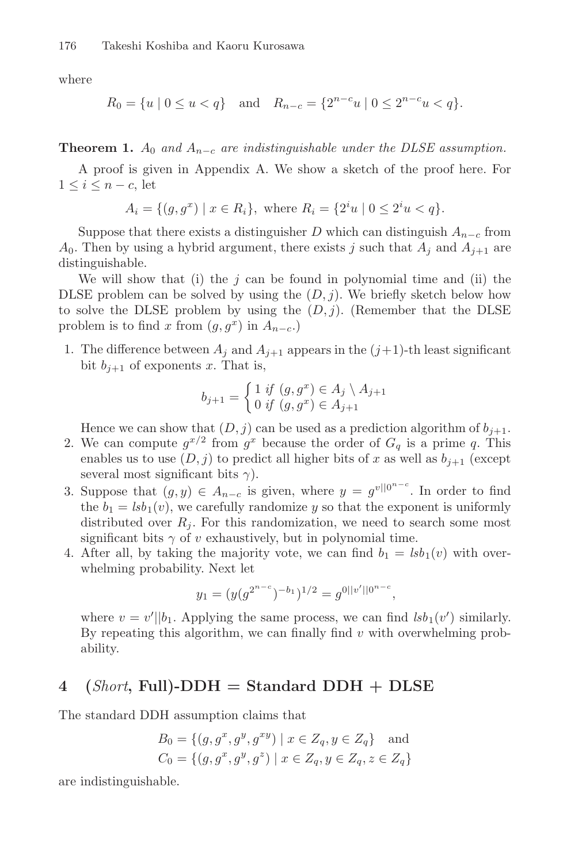where

$$
R_0 = \{u \mid 0 \le u < q\} \quad \text{and} \quad R_{n-c} = \{2^{n-c}u \mid 0 \le 2^{n-c}u < q\}.
$$

<span id="page-3-0"></span>**Theorem 1.**  $A_0$  *and*  $A_{n-c}$  *are indistinguishable under the DLSE assumption.* 

A proof is given in Appendix A. We show a sketch of the proof here. For  $1 \leq i \leq n-c$ , let

 $A_i = \{(g, g^x) \mid x \in R_i\},\$  where  $R_i = \{2^i u \mid 0 \le 2^i u < q\}.$ 

Suppose that there exists a distinguisher D which can distinguish  $A_{n-c}$  from  $A_0$ . Then by using a hybrid argument, there exists j such that  $A_j$  and  $A_{j+1}$  are distinguishable.

We will show that (i) the  $j$  can be found in polynomial time and (ii) the DLSE problem can be solved by using the  $(D, j)$ . We briefly sketch below how to solve the DLSE problem by using the  $(D, j)$ . (Remember that the DLSE problem is to find x from  $(g, g^x)$  in  $A_{n-c}$ .

1. The difference between  $A_j$  and  $A_{j+1}$  appears in the  $(j+1)$ -th least significant bit  $b_{j+1}$  of exponents x. That is,

$$
b_{j+1} = \begin{cases} 1 & \text{if } (g, g^x) \in A_j \setminus A_{j+1} \\ 0 & \text{if } (g, g^x) \in A_{j+1} \end{cases}
$$

Hence we can show that  $(D, j)$  can be used as a prediction algorithm of  $b_{j+1}$ .

- 2. We can compute  $g^{x/2}$  from  $g^x$  because the order of  $G_q$  is a prime q. This enables us to use  $(D, j)$  to predict all higher bits of x as well as  $b_{j+1}$  (except several most significant bits  $\gamma$ ).
- 3. Suppose that  $(g, y) \in A_{n-c}$  is given, where  $y = g^{v||0^{n-c}}$ . In order to find the  $b_1 = \frac{lsb_1(v)}{w}$ , we carefully randomize y so that the exponent is uniformly distributed over  $R_i$ . For this randomization, we need to search some most significant bits  $\gamma$  of v exhaustively, but in polynomial time.
- 4. After all, by taking the majority vote, we can find  $b_1 = \text{lsb}_1(v)$  with overwhelming probability. Next let

$$
y_1 = (y(g^{2^{n-c}})^{-b_1})^{1/2} = g^{0||v'||0^{n-c}},
$$

where  $v = v' \mid b_1$ . Applying the same process, we can find  $lsb_1(v')$  similarly. By repeating this algorithm, we can finally find  $v$  with overwhelming probability.

# **4 (***Short***, Full)-DDH = Standard DDH + DLSE**

The standard DDH assumption claims that

$$
B_0 = \{ (g, g^x, g^y, g^{xy}) \mid x \in Z_q, y \in Z_q \} \text{ and}
$$
  

$$
C_0 = \{ (g, g^x, g^y, g^z) \mid x \in Z_q, y \in Z_q, z \in Z_q \}
$$

are indistinguishable.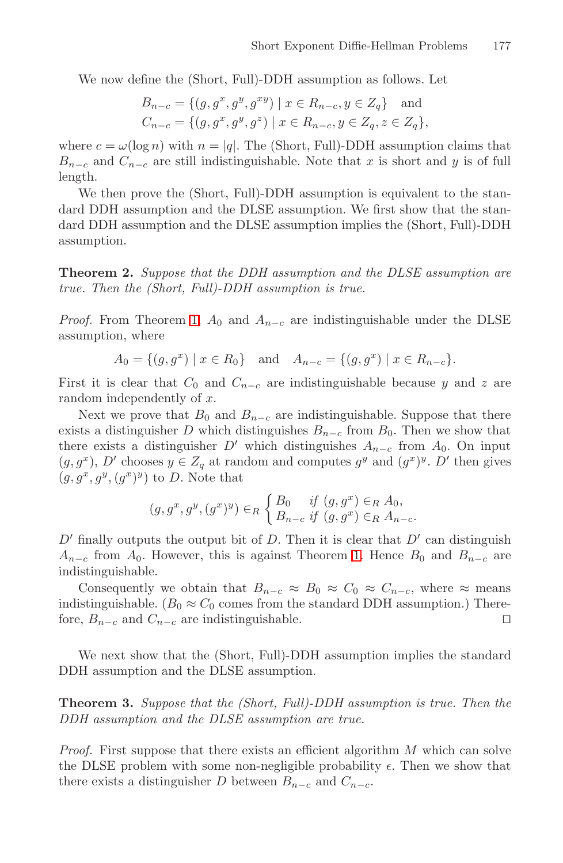We now define the (Short, Full)-DDH assumption as follows. Let

$$
B_{n-c} = \{(g, g^x, g^y, g^{xy}) \mid x \in R_{n-c}, y \in Z_q\} \text{ and}
$$
  
\n
$$
C_{n-c} = \{(g, g^x, g^y, g^z) \mid x \in R_{n-c}, y \in Z_q, z \in Z_q\},\
$$

where  $c = \omega(\log n)$  with  $n = |q|$ . The (Short, Full)-DDH assumption claims that  $B_{n-c}$  and  $C_{n-c}$  are still indistinguishable. Note that x is short and y is of full length.

We then prove the (Short, Full)-DDH assumption is equivalent to the standard DDH assumption and the DLSE assumption. We first show that the standard DDH assumption and the DLSE assumption implies the (Short, Full)-DDH assumption.

<span id="page-4-0"></span>**Theorem 2.** *Suppose that the DDH assumption and the DLSE assumption are true. Then the (Short, Full)-DDH assumption is true.*

*Proof.* From Theorem [1,](#page-3-0)  $A_0$  and  $A_{n-c}$  are indistinguishable under the DLSE assumption, where

$$
A_0 = \{(g, g^x) | x \in R_0\}
$$
 and  $A_{n-c} = \{(g, g^x) | x \in R_{n-c}\}.$ 

First it is clear that  $C_0$  and  $C_{n-c}$  are indistinguishable because y and z are random independently of x.

Next we prove that  $B_0$  and  $B_{n-c}$  are indistinguishable. Suppose that there exists a distinguisher D which distinguishes  $B_{n-c}$  from  $B_0$ . Then we show that there exists a distinguisher D' which distinguishes  $A_{n-c}$  from  $A_0$ . On input  $(g, g^x)$ , D' chooses  $y \in Z_q$  at random and computes  $g^y$  and  $(g^x)^y$ . D' then gives  $(g, g^x, g^y, (g^x)^y)$  to D. Note that

$$
(g, g^x, g^y, (g^x)^y) \in_R \begin{cases} B_0 & \text{if } (g, g^x) \in_R A_0, \\ B_{n-c} & \text{if } (g, g^x) \in_R A_{n-c}. \end{cases}
$$

 $D'$  finally outputs the output bit of D. Then it is clear that  $D'$  can distinguish  $A_{n-c}$  from  $A_0$ . However, this is against Theorem [1.](#page-3-0) Hence  $B_0$  and  $B_{n-c}$  are indistinguishable.

Consequently we obtain that  $B_{n-c} \approx B_0 \approx C_0 \approx C_{n-c}$ , where  $\approx$  means indistinguishable. ( $B_0 \approx C_0$  comes from the standard DDH assumption.) Therefore,  $B_{n-c}$  and  $C_{n-c}$  are indistinguishable.  $□$ 

<span id="page-4-1"></span>We next show that the (Short, Full)-DDH assumption implies the standard DDH assumption and the DLSE assumption.

**Theorem 3.** *Suppose that the (Short, Full)-DDH assumption is true. Then the DDH assumption and the DLSE assumption are true.*

*Proof.* First suppose that there exists an efficient algorithm M which can solve the DLSE problem with some non-negligible probability  $\epsilon$ . Then we show that there exists a distinguisher D between  $B_{n-c}$  and  $C_{n-c}$ .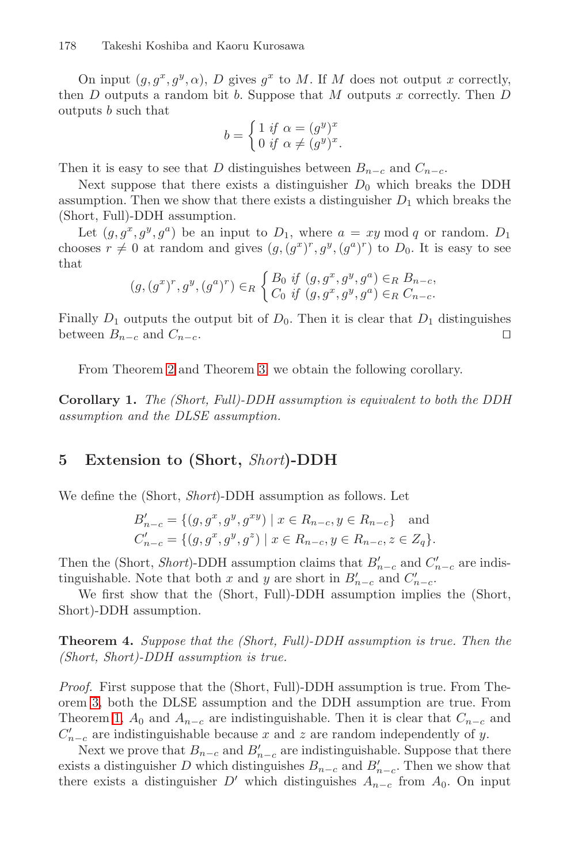On input  $(g, g^x, g^y, \alpha)$ , D gives  $g^x$  to M. If M does not output x correctly, then  $D$  outputs a random bit  $b$ . Suppose that  $M$  outputs  $x$  correctly. Then  $D$ outputs b such that

$$
b = \begin{cases} 1 & \text{if } \alpha = (g^y)^x \\ 0 & \text{if } \alpha \neq (g^y)^x. \end{cases}
$$

Then it is easy to see that D distinguishes between  $B_{n-c}$  and  $C_{n-c}$ .

Next suppose that there exists a distinguisher  $D_0$  which breaks the DDH assumption. Then we show that there exists a distinguisher  $D_1$  which breaks the (Short, Full)-DDH assumption.

Let  $(g, g^x, g^y, g^a)$  be an input to  $D_1$ , where  $a = xy \mod q$  or random.  $D_1$ chooses  $r \neq 0$  at random and gives  $(g, (g^x)^r, g^y, (g^a)^r)$  to  $D_0$ . It is easy to see that

$$
(g, (g^x)^r, g^y, (g^a)^r) \in_R \begin{cases} B_0 \text{ if } (g, g^x, g^y, g^a) \in_R B_{n-c}, \\ C_0 \text{ if } (g, g^x, g^y, g^a) \in_R C_{n-c}. \end{cases}
$$

Finally  $D_1$  outputs the output bit of  $D_0$ . Then it is clear that  $D_1$  distinguishes between  $B_{n-c}$  and  $C_{n-c}$ .

From Theorem [2](#page-4-0) and Theorem [3,](#page-4-1) we obtain the following corollary.

<span id="page-5-0"></span>**Corollary 1.** *The (Short, Full)-DDH assumption is equivalent to both the DDH assumption and the DLSE assumption.*

# **5 Extension to (Short,** *Short***)-DDH**

We define the (Short, *Short*)-DDH assumption as follows. Let

$$
B'_{n-c} = \{(g, g^x, g^y, g^{xy}) \mid x \in R_{n-c}, y \in R_{n-c}\} \text{ and}
$$
  

$$
C'_{n-c} = \{(g, g^x, g^y, g^z) \mid x \in R_{n-c}, y \in R_{n-c}, z \in Z_q\}.
$$

Then the (Short, *Short*)-DDH assumption claims that  $B'_{n-c}$  and  $C'_{n-c}$  are indistinguishable. Note that both x and y are short in  $B'_{n-c}$  and  $C'_{n-c}$ .

We first show that the (Short, Full)-DDH assumption implies the (Short, Short)-DDH assumption.

**Theorem 4.** *Suppose that the (Short, Full)-DDH assumption is true. Then the (Short, Short)-DDH assumption is true.*

*Proof.* First suppose that the (Short, Full)-DDH assumption is true. From Theorem [3,](#page-4-1) both the DLSE assumption and the DDH assumption are true. From Theorem [1,](#page-3-0)  $A_0$  and  $A_{n-c}$  are indistinguishable. Then it is clear that  $C_{n-c}$  and  $C'_{n-c}$  are indistinguishable because x and z are random independently of y.

Next we prove that  $B_{n-c}$  and  $B'_{n-c}$  are indistinguishable. Suppose that there exists a distinguisher D which distinguishes  $B_{n-c}$  and  $B'_{n-c}$ . Then we show that there exists a distinguisher  $D'$  which distinguishes  $A_{n-c}$  from  $A_0$ . On input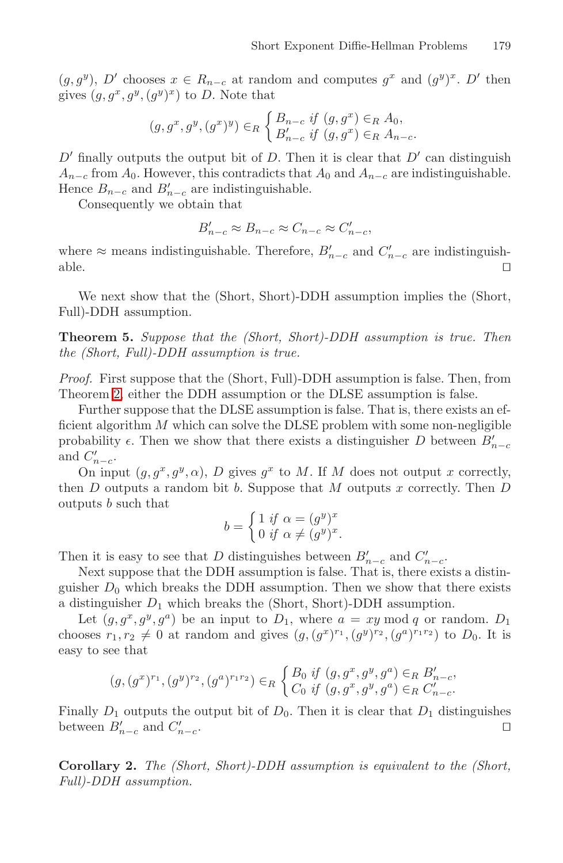$(g, g^y)$ , D' chooses  $x \in R_{n-c}$  at random and computes  $g^x$  and  $(g^y)^x$ . D' then gives  $(g, g^x, g^y, (g^y)^x)$  to D. Note that

$$
(g, g^x, g^y, (g^x)^y) \in_R \begin{cases} B_{n-c} & \text{if } (g, g^x) \in_R A_0, \\ B'_{n-c} & \text{if } (g, g^x) \in_R A_{n-c}. \end{cases}
$$

 $D'$  finally outputs the output bit of D. Then it is clear that  $D'$  can distinguish  $A_{n-c}$  from  $A_0$ . However, this contradicts that  $A_0$  and  $A_{n-c}$  are indistinguishable. Hence  $B_{n-c}$  and  $B'_{n-c}$  are indistinguishable.

Consequently we obtain that

$$
B'_{n-c} \approx B_{n-c} \approx C_{n-c} \approx C'_{n-c},
$$

where  $\approx$  means indistinguishable. Therefore,  $B'_{n-c}$  and  $C'_{n-c}$  are indistinguishable.  $\Box$ 

We next show that the (Short, Short)-DDH assumption implies the (Short, Full)-DDH assumption.

**Theorem 5.** *Suppose that the (Short, Short)-DDH assumption is true. Then the (Short, Full)-DDH assumption is true.*

*Proof.* First suppose that the (Short, Full)-DDH assumption is false. Then, from Theorem [2,](#page-4-0) either the DDH assumption or the DLSE assumption is false.

Further suppose that the DLSE assumption is false. That is, there exists an efficient algorithm  $M$  which can solve the DLSE problem with some non-negligible probability  $\epsilon$ . Then we show that there exists a distinguisher D between  $B'_{n-c}$ and  $C'_{n-c}$ .

On input  $(g, g^x, g^y, \alpha)$ , D gives  $g^x$  to M. If M does not output x correctly, then  $D$  outputs a random bit  $b$ . Suppose that  $M$  outputs  $x$  correctly. Then  $D$ outputs b such that

$$
b = \begin{cases} 1 & \text{if } \alpha = (g^y)^x \\ 0 & \text{if } \alpha \neq (g^y)^x. \end{cases}
$$

Then it is easy to see that D distinguishes between  $B'_{n-c}$  and  $C'_{n-c}$ .

Next suppose that the DDH assumption is false. That is, there exists a distinguisher  $D_0$  which breaks the DDH assumption. Then we show that there exists a distinguisher  $D_1$  which breaks the (Short, Short)-DDH assumption.

Let  $(g, g^x, g^y, g^a)$  be an input to  $D_1$ , where  $a = xy \mod q$  or random.  $D_1$ chooses  $r_1, r_2 \neq 0$  at random and gives  $(g, (g^x)^{r_1}, (g^y)^{r_2}, (g^a)^{r_1 r_2})$  to  $D_0$ . It is easy to see that

$$
(g,(g^x)^{r_1},(g^y)^{r_2},(g^a)^{r_1r_2}) \in_R \begin{cases} B_0 \text{ if } (g,g^x,g^y,g^a) \in_R B'_{n-c}, \\ C_0 \text{ if } (g,g^x,g^y,g^a) \in_R C'_{n-c}. \end{cases}
$$

Finally  $D_1$  outputs the output bit of  $D_0$ . Then it is clear that  $D_1$  distinguishes between  $B'_{n-c}$  and  $C'_{n}$  $n-c$ .

**Corollary 2.** *The (Short, Short)-DDH assumption is equivalent to the (Short, Full)-DDH assumption.*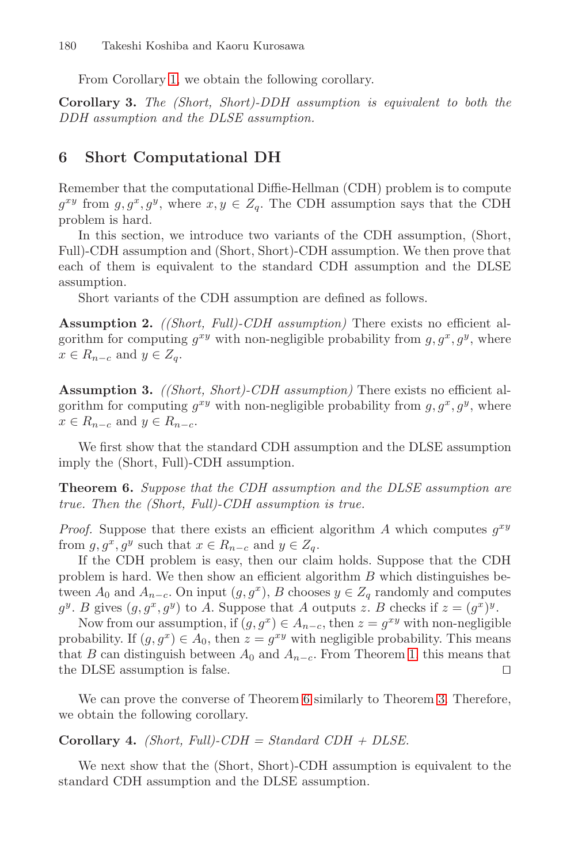From Corollary [1,](#page-5-0) we obtain the following corollary.

**Corollary 3.** *The (Short, Short)-DDH assumption is equivalent to both the DDH assumption and the DLSE assumption.*

# **6 Short Computational DH**

Remember that the computational Diffie-Hellman (CDH) problem is to compute  $g^{xy}$  from  $g, g^x, g^y$ , where  $x, y \in Z_q$ . The CDH assumption says that the CDH problem is hard.

In this section, we introduce two variants of the CDH assumption, (Short, Full)-CDH assumption and (Short, Short)-CDH assumption. We then prove that each of them is equivalent to the standard CDH assumption and the DLSE assumption.

Short variants of the CDH assumption are defined as follows.

**Assumption 2.** *((Short, Full)-CDH assumption)* There exists no efficient algorithm for computing  $g^{xy}$  with non-negligible probability from  $g, g^x, g^y$ , where  $x \in R_{n-c}$  and  $y \in Z_a$ .

**Assumption 3.** *((Short, Short)-CDH assumption)* There exists no efficient algorithm for computing  $g^{xy}$  with non-negligible probability from  $g, g^x, g^y$ , where  $x \in R_{n-c}$  and  $y \in R_{n-c}$ .

<span id="page-7-0"></span>We first show that the standard CDH assumption and the DLSE assumption imply the (Short, Full)-CDH assumption.

**Theorem 6.** *Suppose that the CDH assumption and the DLSE assumption are true. Then the (Short, Full)-CDH assumption is true.*

*Proof.* Suppose that there exists an efficient algorithm A which computes  $g^{xy}$ from  $g, g^x, g^y$  such that  $x \in R_{n-c}$  and  $y \in Z_q$ .

If the CDH problem is easy, then our claim holds. Suppose that the CDH problem is hard. We then show an efficient algorithm  $B$  which distinguishes between  $A_0$  and  $A_{n-c}$ . On input  $(g, g^x)$ , B chooses  $y \in Z_q$  randomly and computes  $g^y$ . B gives  $(g, g^x, g^y)$  to A. Suppose that A outputs z. B checks if  $z = (g^x)^y$ .

Now from our assumption, if  $(g, g^x) \in A_{n-c}$ , then  $z = g^{xy}$  with non-negligible probability. If  $(g, g^x) \in A_0$ , then  $z = g^{xy}$  with negligible probability. This means that B can distinguish between  $A_0$  and  $A_{n-c}$ . From Theorem [1,](#page-3-0) this means that the DLSE assumption is false.

We can prove the converse of Theorem [6](#page-7-0) similarly to Theorem [3.](#page-4-1) Therefore, we obtain the following corollary.

#### **Corollary 4.** *(Short, Full)-CDH = Standard CDH + DLSE.*

We next show that the (Short, Short)-CDH assumption is equivalent to the standard CDH assumption and the DLSE assumption.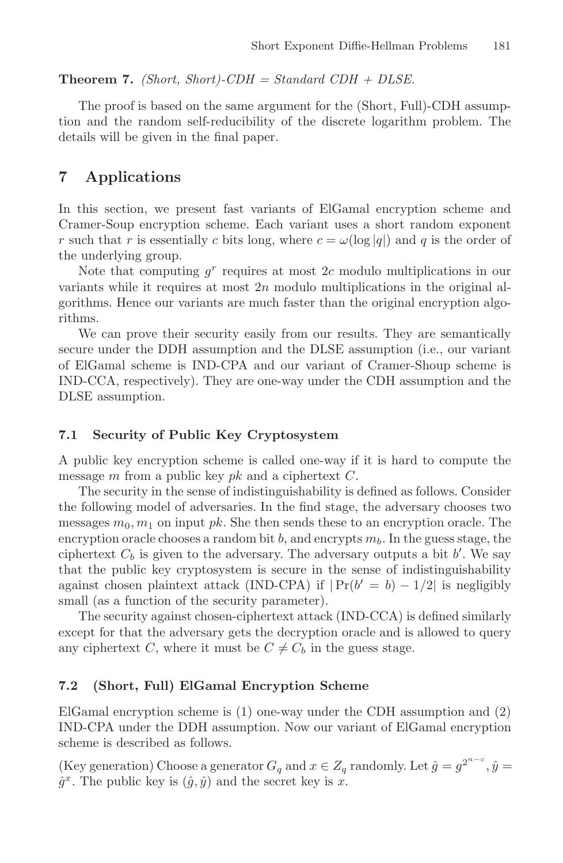#### **Theorem 7.** *(Short, Short)-CDH = Standard CDH + DLSE.*

The proof is based on the same argument for the (Short, Full)-CDH assumption and the random self-reducibility of the discrete logarithm problem. The details will be given in the final paper.

# **7 Applications**

In this section, we present fast variants of ElGamal encryption scheme and Cramer-Soup encryption scheme. Each variant uses a short random exponent r such that r is essentially c bits long, where  $c = \omega(\log|q|)$  and q is the order of the underlying group.

Note that computing  $g<sup>r</sup>$  requires at most 2c modulo multiplications in our variants while it requires at most  $2n$  modulo multiplications in the original algorithms. Hence our variants are much faster than the original encryption algorithms.

We can prove their security easily from our results. They are semantically secure under the DDH assumption and the DLSE assumption (i.e., our variant of ElGamal scheme is IND-CPA and our variant of Cramer-Shoup scheme is IND-CCA, respectively). They are one-way under the CDH assumption and the DLSE assumption.

### **7.1 Security of Public Key Cryptosystem**

A public key encryption scheme is called one-way if it is hard to compute the message m from a public key  $pk$  and a ciphertext  $C$ .

The security in the sense of indistinguishability is defined as follows. Consider the following model of adversaries. In the find stage, the adversary chooses two messages  $m_0, m_1$  on input pk. She then sends these to an encryption oracle. The encryption oracle chooses a random bit  $b$ , and encrypts  $m_b$ . In the guess stage, the ciphertext  $C_b$  is given to the adversary. The adversary outputs a bit  $b'$ . We say that the public key cryptosystem is secure in the sense of indistinguishability against chosen plaintext attack (IND-CPA) if  $|Pr(b' = b) - 1/2|$  is negligibly small (as a function of the security parameter).

The security against chosen-ciphertext attack (IND-CCA) is defined similarly except for that the adversary gets the decryption oracle and is allowed to query any ciphertext C, where it must be  $C \neq C_b$  in the guess stage.

### **7.2 (Short, Full) ElGamal Encryption Scheme**

ElGamal encryption scheme is (1) one-way under the CDH assumption and (2) IND-CPA under the DDH assumption. Now our variant of ElGamal encryption scheme is described as follows.

(Key generation) Choose a generator  $G_q$  and  $x \in Z_q$  randomly. Let  $\hat{g} = g^{2^{n-c}}$ ,  $\hat{y} =$  $\hat{g}^x$ . The public key is  $(\hat{g}, \hat{y})$  and the secret key is x.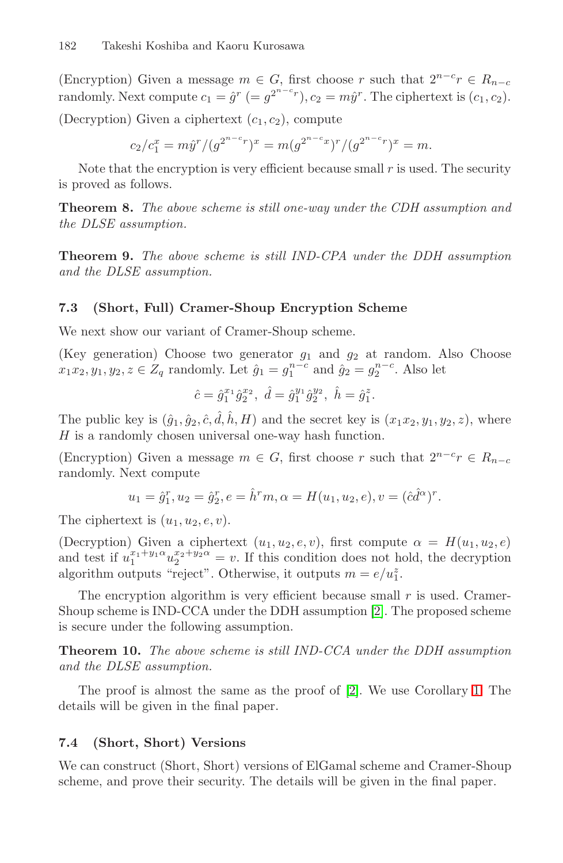(Encryption) Given a message  $m \in G$ , first choose r such that  $2^{n-c}r \in R_{n-c}$ randomly. Next compute  $c_1 = \hat{g}^r$  (=  $g^{2^{n-c}r}$ ),  $c_2 = m\hat{y}^r$ . The ciphertext is  $(c_1, c_2)$ . (Decryption) Given a ciphertext  $(c_1, c_2)$ , compute

$$
c_2/c_1^x = m\hat{y}^r / (g^{2^{n-c}r})^x = m(g^{2^{n-c}x})^r / (g^{2^{n-c}r})^x = m.
$$

Note that the encryption is very efficient because small  $r$  is used. The security is proved as follows.

**Theorem 8.** *The above scheme is still one-way under the CDH assumption and the DLSE assumption.*

**Theorem 9.** *The above scheme is still IND-CPA under the DDH assumption and the DLSE assumption.*

### **7.3 (Short, Full) Cramer-Shoup Encryption Scheme**

We next show our variant of Cramer-Shoup scheme.

(Key generation) Choose two generator  $g_1$  and  $g_2$  at random. Also Choose  $x_1x_2, y_1, y_2, z \in Z_q$  randomly. Let  $\hat{g}_1 = g_1^{n-c}$  and  $\hat{g}_2 = g_2^{n-c}$ . Also let

$$
\hat{c} = \hat{g}_1^{x_1} \hat{g}_2^{x_2}, \ \hat{d} = \hat{g}_1^{y_1} \hat{g}_2^{y_2}, \ \hat{h} = \hat{g}_1^z.
$$

The public key is  $(\hat{g}_1, \hat{g}_2, \hat{c}, \hat{d}, \hat{h}, H)$  and the secret key is  $(x_1x_2, y_1, y_2, z)$ , where  $H$  is a randomly chosen universal one-way hash function.

(Encryption) Given a message  $m \in G$ , first choose r such that  $2^{n-c}r \in R_{n-c}$ randomly. Next compute

$$
u_1 = \hat{g}_1^r, u_2 = \hat{g}_2^r, e = \hat{h}^r m, \alpha = H(u_1, u_2, e), v = (\hat{c}\hat{d}^{\alpha})^r.
$$

The ciphertext is  $(u_1, u_2, e, v)$ .

(Decryption) Given a ciphertext  $(u_1, u_2, e, v)$ , first compute  $\alpha = H(u_1, u_2, e)$ and test if  $u_1^{x_1+y_1\alpha}u_2^{x_2+y_2\alpha} = v$ . If this condition does not hold, the decryption algorithm outputs "reject". Otherwise, it outputs  $m = e/u_1^z$ .

The encryption algorithm is very efficient because small  $r$  is used. Cramer-Shoup scheme is IND-CCA under the DDH assumption [\[2\]](#page-10-7). The proposed scheme is secure under the following assumption.

**Theorem 10.** *The above scheme is still IND-CCA under the DDH assumption and the DLSE assumption.*

The proof is almost the same as the proof of [\[2\]](#page-10-7). We use Corollary [1.](#page-5-0) The details will be given in the final paper.

#### **7.4 (Short, Short) Versions**

We can construct (Short, Short) versions of ElGamal scheme and Cramer-Shoup scheme, and prove their security. The details will be given in the final paper.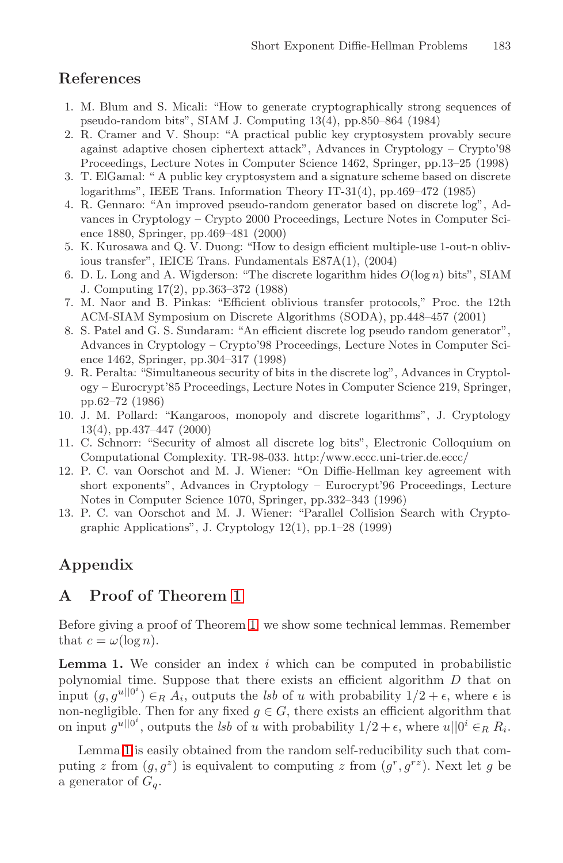# <span id="page-10-0"></span>**References**

- 1. M. Blum and S. Micali: "How to generate cryptographically strong sequences of pseudo-random bits", SIAM J. Computing 13(4), pp.850–864 (1984)
- <span id="page-10-7"></span>2. R. Cramer and V. Shoup: "A practical public key cryptosystem provably secure against adaptive chosen ciphertext attack", Advances in Cryptology – Crypto'98 Proceedings, Lecture Notes in Computer Science 1462, Springer, pp.13–25 (1998)
- <span id="page-10-6"></span>3. T. ElGamal: " A public key cryptosystem and a signature scheme based on discrete logarithms", IEEE Trans. Information Theory IT-31(4), pp.469–472 (1985)
- <span id="page-10-5"></span>4. R. Gennaro: "An improved pseudo-random generator based on discrete log", Advances in Cryptology – Crypto 2000 Proceedings, Lecture Notes in Computer Science 1880, Springer, pp.469–481 (2000)
- <span id="page-10-9"></span>5. K. Kurosawa and Q. V. Duong: "How to design efficient multiple-use 1-out-n oblivious transfer", IEICE Trans. Fundamentals E87A(1), (2004)
- <span id="page-10-8"></span><span id="page-10-1"></span>6. D. L. Long and A. Wigderson: "The discrete logarithm hides *O*(log *n*) bits", SIAM J. Computing 17(2), pp.363–372 (1988)
- 7. M. Naor and B. Pinkas: "Efficient oblivious transfer protocols," Proc. the 12th ACM-SIAM Symposium on Discrete Algorithms (SODA), pp.448–457 (2001)
- <span id="page-10-4"></span>8. S. Patel and G. S. Sundaram: "An efficient discrete log pseudo random generator", Advances in Cryptology – Crypto'98 Proceedings, Lecture Notes in Computer Science 1462, Springer, pp.304–317 (1998)
- <span id="page-10-2"></span>9. R. Peralta: "Simultaneous security of bits in the discrete log", Advances in Cryptology – Eurocrypt'85 Proceedings, Lecture Notes in Computer Science 219, Springer, pp.62–72 (1986)
- 10. J. M. Pollard: "Kangaroos, monopoly and discrete logarithms", J. Cryptology 13(4), pp.437–447 (2000)
- 11. C. Schnorr: "Security of almost all discrete log bits", Electronic Colloquium on Computational Complexity. TR-98-033. http:/www.eccc.uni-trier.de.eccc/
- <span id="page-10-3"></span>12. P. C. van Oorschot and M. J. Wiener: "On Diffie-Hellman key agreement with short exponents", Advances in Cryptology – Eurocrypt'96 Proceedings, Lecture Notes in Computer Science 1070, Springer, pp.332–343 (1996)
- 13. P. C. van Oorschot and M. J. Wiener: "Parallel Collision Search with Cryptographic Applications", J. Cryptology 12(1), pp.1–28 (1999)

# **Appendix**

# **A Proof of Theorem [1](#page-3-0)**

<span id="page-10-10"></span>Before giving a proof of Theorem [1,](#page-3-0) we show some technical lemmas. Remember that  $c = \omega(\log n)$ .

**Lemma 1.** We consider an index i which can be computed in probabilistic polynomial time. Suppose that there exists an efficient algorithm D that on input  $(g, g^{\nu | 0^i}) \in_R A_i$ , outputs the *lsb* of u with probability  $1/2 + \epsilon$ , where  $\epsilon$  is non-negligible. Then for any fixed  $g \in G$ , there exists an efficient algorithm that on input  $g^{u||0^i}$ , outputs the *lsb* of u with probability  $1/2 + \epsilon$ , where  $u||0^i \in_R R_i$ .

<span id="page-10-11"></span>Lemma [1](#page-10-10) is easily obtained from the random self-reducibility such that computing z from  $(g, g^z)$  is equivalent to computing z from  $(g^r, g^{rz})$ . Next let g be a generator of  $G_q$ .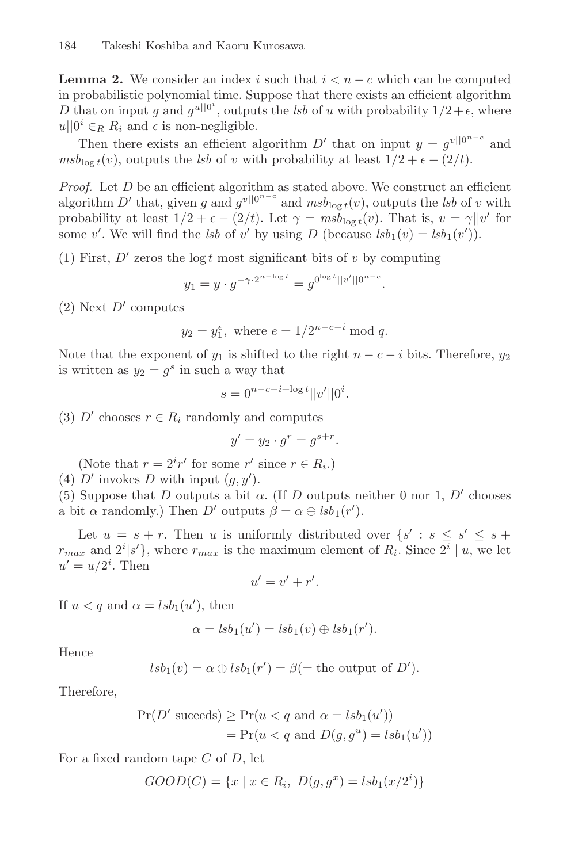**Lemma 2.** We consider an index i such that  $i < n - c$  which can be computed in probabilistic polynomial time. Suppose that there exists an efficient algorithm D that on input g and  $g^{u||0^i}$ , outputs the *lsb* of u with probability  $1/2+\epsilon$ , where  $u||0^i \in_R R_i$  and  $\epsilon$  is non-negligible.

Then there exists an efficient algorithm  $D'$  that on input  $y = g^{v||0^{n-c}}$  and  $m s b_{\log t}(v)$ , outputs the *lsb* of v with probability at least  $1/2 + \epsilon - (2/t)$ .

*Proof.* Let D be an efficient algorithm as stated above. We construct an efficient algorithm D' that, given g and  $g^{v||0^{n-c}}$  and  $msb_{\log t}(v)$ , outputs the *lsb* of v with probability at least  $1/2 + \epsilon - (2/t)$ . Let  $\gamma = m s b_{\log t}(v)$ . That is,  $v = \gamma ||v'$  for some v'. We will find the *lsb* of v' by using D (because  $lsb_1(v) = lsb_1(v')$ ).

(1) First,  $D'$  zeros the log t most significant bits of v by computing

$$
y_1 = y \cdot g^{-\gamma \cdot 2^{n-\log t}} = g^{0^{\log t} ||v'||0^{n-c}}.
$$

(2) Next  $D'$  computes

$$
y_2 = y_1^e
$$
, where  $e = 1/2^{n-c-i} \mod q$ .

Note that the exponent of  $y_1$  is shifted to the right  $n - c - i$  bits. Therefore,  $y_2$ is written as  $y_2 = g^s$  in such a way that

$$
s = 0^{n-c-i+\log t} ||v'|| 0^{i}.
$$

(3) D' chooses  $r \in R_i$  randomly and computes

$$
y' = y_2 \cdot g^r = g^{s+r}.
$$

(Note that  $r = 2^{i}r'$  for some  $r'$  since  $r \in R_i$ .)

(4) D' invokes D with input  $(g, y')$ .

(5) Suppose that D outputs a bit  $\alpha$ . (If D outputs neither 0 nor 1, D' chooses a bit  $\alpha$  randomly.) Then D' outputs  $\beta = \alpha \oplus \text{lsb}_1(r')$ .

Let  $u = s + r$ . Then u is uniformly distributed over  $\{s' : s \leq s' \leq s + r\}$  $r_{max}$  and  $2^{i}|s'\rangle$ , where  $r_{max}$  is the maximum element of  $R_i$ . Since  $2^{i}|u|$ , we let  $u' = u/2^i$ . Then

$$
u'=v'+r'.
$$

If  $u < q$  and  $\alpha = lsb_1(u')$ , then

$$
\alpha = lsb_1(u') = lsb_1(v) \oplus lsb_1(r').
$$

Hence

$$
lsb_1(v) = \alpha \oplus lsb_1(r') = \beta(=
$$
 the output of D').

Therefore,

$$
Pr(D' \text{ succeeds}) \ge Pr(u < q \text{ and } \alpha = lsh_1(u'))
$$
\n
$$
= Pr(u < q \text{ and } D(g, g^u) = lsh_1(u'))
$$

For a fixed random tape C of D, let

$$
GOOD(C) = \{x \mid x \in R_i, \ D(g, g^x) = lsb_1(x/2^i)\}\
$$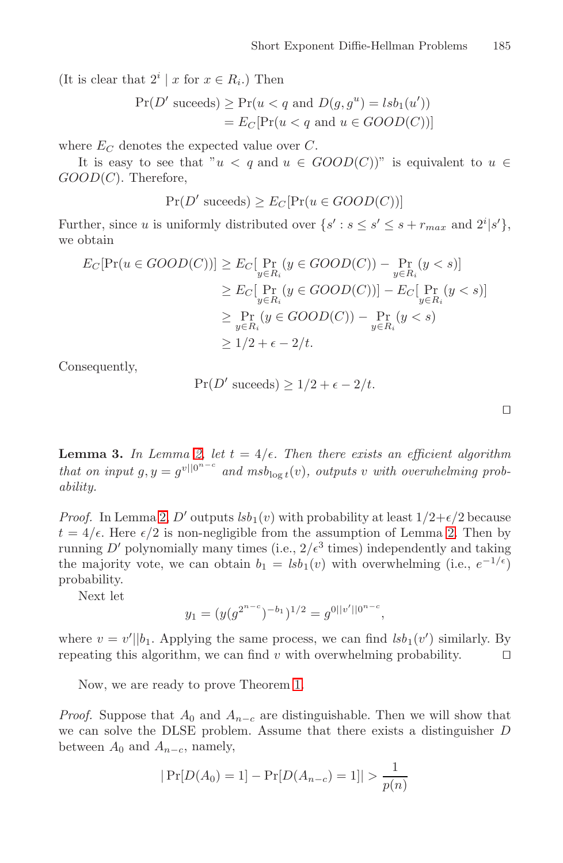<span id="page-12-0"></span>(It is clear that  $2^i | x$  for  $x \in R_i$ .) Then

$$
Pr(D' \text{ succeeds}) \ge Pr(u < q \text{ and } D(g, g^u) = lsb_1(u'))
$$
\n
$$
= E_C[Pr(u < q \text{ and } u \in GOOD(C))]
$$

where  $E_C$  denotes the expected value over  $C$ .

It is easy to see that " $u < q$  and  $u \in GOOD(C)$ " is equivalent to  $u \in$  $GOOD(C)$ . Therefore,

$$
Pr(D' \text{ succeeds}) \ge E_C[Pr(u \in GOOD(C))]
$$

Further, since u is uniformly distributed over  $\{s' : s \le s' \le s + r_{max} \text{ and } 2^i | s' \},\$ we obtain

$$
E_C[\Pr(u \in GOOD(C))] \ge E_C[\Pr_{y \in R_i} (y \in GOOD(C)) - \Pr_{y \in R_i} (y < s)]
$$
\n
$$
\ge E_C[\Pr_{y \in R_i} (y \in GOOD(C))] - E_C[\Pr_{y \in R_i} (y < s)]
$$
\n
$$
\ge \Pr_{y \in R_i} (y \in GOOD(C)) - \Pr_{y \in R_i} (y < s)
$$
\n
$$
\ge 1/2 + \epsilon - 2/t.
$$

Consequently,

$$
Pr(D' \text{ succeeds}) \ge 1/2 + \epsilon - 2/t.
$$

 $\Box$ 

<span id="page-12-1"></span>**Lemma 3.** *In Lemma [2,](#page-10-11) let*  $t = 4/\epsilon$ *. Then there exists an efficient algorithm that on input*  $g, y = g^{v||0^{n-c}}$  and  $m s b_{\log t}(v)$ , outputs v with overwhelming prob*ability.*

*Proof.* In Lemma [2,](#page-10-11) D' outputs  $lsb_1(v)$  with probability at least  $1/2+\epsilon/2$  because  $t = 4/\epsilon$ . Here  $\epsilon/2$  is non-negligible from the assumption of Lemma [2.](#page-10-11) Then by running D' polynomially many times (i.e.,  $2/\epsilon^3$  times) independently and taking the majority vote, we can obtain  $b_1 = lsb_1(v)$  with overwhelming (i.e.,  $e^{-1/\epsilon}$ ) probability.

Next let

$$
y_1 = (y(g^{2^{n-c}})^{-b_1})^{1/2} = g^{0||v'||0^{n-c}},
$$

where  $v = v' \mid b_1$ . Applying the same process, we can find  $lsb_1(v')$  similarly. By repeating this algorithm, we can find v with overwhelming probability.  $\square$ 

Now, we are ready to prove Theorem [1.](#page-3-0)

*Proof.* Suppose that  $A_0$  and  $A_{n-c}$  are distinguishable. Then we will show that we can solve the DLSE problem. Assume that there exists a distinguisher D between  $A_0$  and  $A_{n-c}$ , namely,

$$
|\Pr[D(A_0) = 1] - \Pr[D(A_{n-c}) = 1]| > \frac{1}{p(n)}
$$